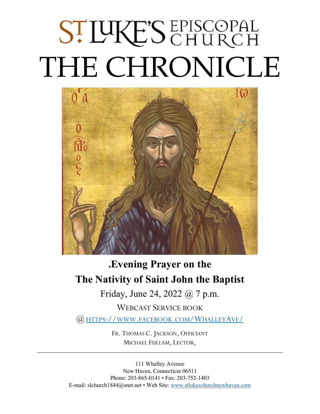# ST LUKE'S EPISCOPAL THE CHRONICLE



# **.Evening Prayer on the The Nativity of Saint John the Baptist**

Friday, June 24, 2022 @ 7 p.m.

WEBCAST SERVICE BOOK @ HTTPS://WWW.FACEBOOK.COM/WHALLEYAVE/

> FR. THOMAS C. JACKSON, OFFICIANT MICHAEL FULLAM, LECTOR,

111 Whalley Avenue New Haven, Connecticut 06511 Phone: 203-865-0141 • Fax: 203-752-1403 E-mail: slchurch1844@snet.net • Web Site: [www.stlukeschurchnewhaven.com](http://www.stlukeschurchnewhaven.com/)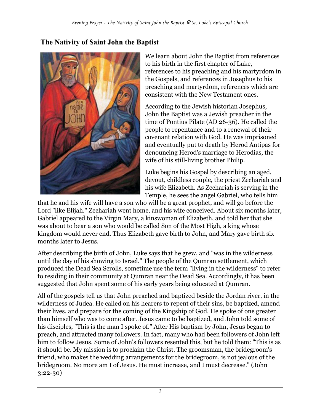#### **The Nativity of Saint John the Baptist**



We learn about John the Baptist from references to his birth in the first chapter of Luke, references to his preaching and his martyrdom in the Gospels, and references in Josephus to his preaching and martyrdom, references which are consistent with the New Testament ones.

According to the Jewish historian Josephus, John the Baptist was a Jewish preacher in the time of Pontius Pilate (AD 26-36). He called the people to repentance and to a renewal of their covenant relation with God. He was imprisoned and eventually put to death by Herod Antipas for denouncing Herod's marriage to Herodias, the wife of his still-living brother Philip.

Luke begins his Gospel by describing an aged, devout, childless couple, the priest Zechariah and his wife Elizabeth. As Zechariah is serving in the Temple, he sees the angel Gabriel, who tells him

that he and his wife will have a son who will be a great prophet, and will go before the Lord "like Elijah." Zechariah went home, and his wife conceived. About six months later, Gabriel appeared to the Virgin Mary, a kinswoman of Elizabeth, and told her that she was about to bear a son who would be called Son of the Most High, a king whose kingdom would never end. Thus Elizabeth gave birth to John, and Mary gave birth six months later to Jesus.

After describing the birth of John, Luke says that he grew, and "was in the wilderness until the day of his showing to Israel." The people of the Qumran settlement, which produced the Dead Sea Scrolls, sometime use the term "living in the wilderness" to refer to residing in their community at Qumran near the Dead Sea. Accordingly, it has been suggested that John spent some of his early years being educated at Qumran.

All of the gospels tell us that John preached and baptized beside the Jordan river, in the wilderness of Judea. He called on his hearers to repent of their sins, be baptized, amend their lives, and prepare for the coming of the Kingship of God. He spoke of one greater than himself who was to come after. Jesus came to be baptized, and John told some of his disciples, "This is the man I spoke of." After His baptism by John, Jesus began to preach, and attracted many followers. In fact, many who had been followers of John left him to follow Jesus. Some of John's followers resented this, but he told them: "This is as it should be. My mission is to proclaim the Christ. The groomsman, the bridegroom's friend, who makes the wedding arrangements for the bridegroom, is not jealous of the bridegroom. No more am I of Jesus. He must increase, and I must decrease." (John 3:22-30)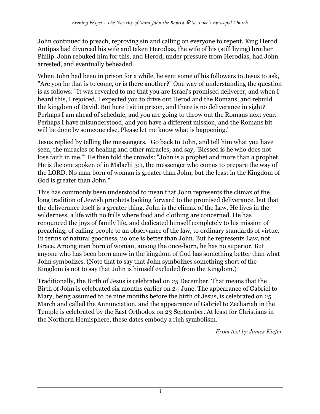John continued to preach, reproving sin and calling on everyone to repent. King Herod Antipas had divorced his wife and taken Herodias, the wife of his (still living) brother Philip. John rebuked him for this, and Herod, under pressure from Herodias, had John arrested, and eventually beheaded.

When John had been in prison for a while, he sent some of his followers to Jesus to ask, "Are you he that is to come, or is there another?" One way of understanding the question is as follows: "It was revealed to me that you are Israel's promised deliverer, and when I heard this, I rejoiced. I expected you to drive out Herod and the Romans, and rebuild the kingdom of David. But here I sit in prison, and there is no deliverance in sight? Perhaps I am ahead of schedule, and you are going to throw out the Romans next year. Perhaps I have misunderstood, and you have a different mission, and the Romans bit will be done by someone else. Please let me know what is happening."

Jesus replied by telling the messengers, "Go back to John, and tell him what you have seen, the miracles of healing and other miracles, and say, 'Blessed is he who does not lose faith in me.'" He then told the crowds: "John is a prophet and more than a prophet. He is the one spoken of in Malachi 3:1, the messenger who comes to prepare the way of the LORD. No man born of woman is greater than John, but the least in the Kingdom of God is greater than John."

This has commonly been understood to mean that John represents the climax of the long tradition of Jewish prophets looking forward to the promised deliverance, but that the deliverance itself is a greater thing. John is the climax of the Law. He lives in the wilderness, a life with no frills where food and clothing are concerned. He has renounced the joys of family life, and dedicated himself completely to his mission of preaching, of calling people to an observance of the law, to ordinary standards of virtue. In terms of natural goodness, no one is better than John. But he represents Law, not Grace. Among men born of woman, among the once-born, he has no superior. But anyone who has been born anew in the kingdom of God has something better than what John symbolizes. (Note that to say that John symbolizes something short of the Kingdom is not to say that John is himself excluded from the Kingdom.)

Traditionally, the Birth of Jesus is celebrated on 25 December. That means that the Birth of John is celebrated six months earlier on 24 June. The appearance of Gabriel to Mary, being assumed to be nine months before the birth of Jesus, is celebrated on 25 March and called the Annunciation, and the appearance of Gabriel to Zechariah in the Temple is celebrated by the East Orthodox on 23 September. At least for Christians in the Northern Hemisphere, these dates embody a rich symbolism.

*From text by James Kiefer*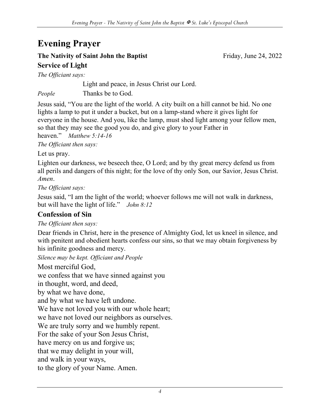## **Evening Prayer**

#### **The Nativity of Saint John the Baptist** Friday, June 24, 2022 **Service of Light**

*The Officiant says:*

Light and peace, in Jesus Christ our Lord.

*People* Thanks be to God.

Jesus said, "You are the light of the world. A city built on a hill cannot be hid. No one lights a lamp to put it under a bucket, but on a lamp-stand where it gives light for everyone in the house. And you, like the lamp, must shed light among your fellow men, so that they may see the good you do, and give glory to your Father in heaven." *Matthew 5:14-16*

*The Officiant then says:*

Let us pray.

Lighten our darkness, we beseech thee, O Lord; and by thy great mercy defend us from all perils and dangers of this night; for the love of thy only Son, our Savior, Jesus Christ. *Amen*.

*The Officiant says:*

Jesus said, "I am the light of the world; whoever follows me will not walk in darkness, but will have the light of life." *John 8:12*

#### **Confession of Sin**

*The Officiant then says:*

Dear friends in Christ, here in the presence of Almighty God, let us kneel in silence, and with penitent and obedient hearts confess our sins, so that we may obtain forgiveness by his infinite goodness and mercy.

*Silence may be kept. Officiant and People*

Most merciful God,

we confess that we have sinned against you

in thought, word, and deed,

by what we have done,

and by what we have left undone.

We have not loved you with our whole heart;

we have not loved our neighbors as ourselves.

We are truly sorry and we humbly repent.

For the sake of your Son Jesus Christ,

have mercy on us and forgive us;

that we may delight in your will,

and walk in your ways,

to the glory of your Name. Amen.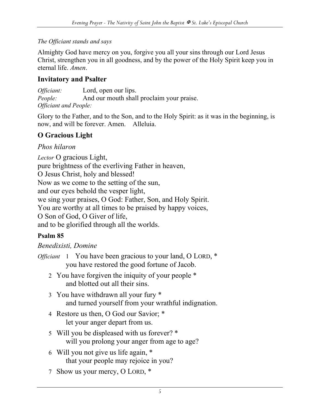#### *The Officiant stands and says*

Almighty God have mercy on you, forgive you all your sins through our Lord Jesus Christ, strengthen you in all goodness, and by the power of the Holy Spirit keep you in eternal life. *Amen*.

#### **Invitatory and Psalter**

*Officiant:* Lord, open our lips. *People:* And our mouth shall proclaim your praise. *Officiant and People:*

Glory to the Father, and to the Son, and to the Holy Spirit: as it was in the beginning, is now, and will be forever. Amen. Alleluia.

### **O Gracious Light**

#### *Phos hilaron*

*Lector* O gracious Light, pure brightness of the everliving Father in heaven, O Jesus Christ, holy and blessed! Now as we come to the setting of the sun, and our eyes behold the vesper light, we sing your praises, O God: Father, Son, and Holy Spirit. You are worthy at all times to be praised by happy voices, O Son of God, O Giver of life, and to be glorified through all the worlds.

#### **Psalm 85**

#### *Benedixisti, Domine*

- *Officiant* 1 You have been gracious to your land, O LORD, \* you have restored the good fortune of Jacob.
	- 2 You have forgiven the iniquity of your people \* and blotted out all their sins.
	- 3 You have withdrawn all your fury \* and turned yourself from your wrathful indignation.
	- 4 Restore us then, O God our Savior; \* let your anger depart from us.
	- 5 Will you be displeased with us forever? \* will you prolong your anger from age to age?
	- 6 Will you not give us life again, \* that your people may rejoice in you?
	- 7 Show us your mercy, O LORD, \*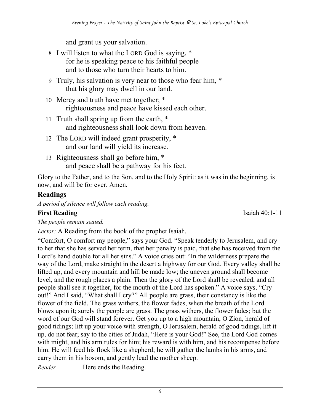and grant us your salvation.

- 8 I will listen to what the LORD God is saying, \* for he is speaking peace to his faithful people and to those who turn their hearts to him.
- 9 Truly, his salvation is very near to those who fear him, \* that his glory may dwell in our land.
- 10 Mercy and truth have met together; \* righteousness and peace have kissed each other.
- 11 Truth shall spring up from the earth, \* and righteousness shall look down from heaven.
- 12 The LORD will indeed grant prosperity, \* and our land will yield its increase.
- 13 Righteousness shall go before him, \* and peace shall be a pathway for his feet.

Glory to the Father, and to the Son, and to the Holy Spirit: as it was in the beginning, is now, and will be for ever. Amen.

### **Readings**

*A period of silence will follow each reading.*

#### **First Reading** Isaiah 40:1-11

*The people remain seated.*

*Lector:* A Reading from the book of the prophet Isaiah.

"Comfort, O comfort my people," says your God. "Speak tenderly to Jerusalem, and cry to her that she has served her term, that her penalty is paid, that she has received from the Lord's hand double for all her sins." A voice cries out: "In the wilderness prepare the way of the Lord, make straight in the desert a highway for our God. Every valley shall be lifted up, and every mountain and hill be made low; the uneven ground shall become level, and the rough places a plain. Then the glory of the Lord shall be revealed, and all people shall see it together, for the mouth of the Lord has spoken." A voice says, "Cry out!" And I said, "What shall I cry?" All people are grass, their constancy is like the flower of the field. The grass withers, the flower fades, when the breath of the Lord blows upon it; surely the people are grass. The grass withers, the flower fades; but the word of our God will stand forever. Get you up to a high mountain, O Zion, herald of good tidings; lift up your voice with strength, O Jerusalem, herald of good tidings, lift it up, do not fear; say to the cities of Judah, "Here is your God!" See, the Lord God comes with might, and his arm rules for him; his reward is with him, and his recompense before him. He will feed his flock like a shepherd; he will gather the lambs in his arms, and carry them in his bosom, and gently lead the mother sheep.

*Reader* Here ends the Reading.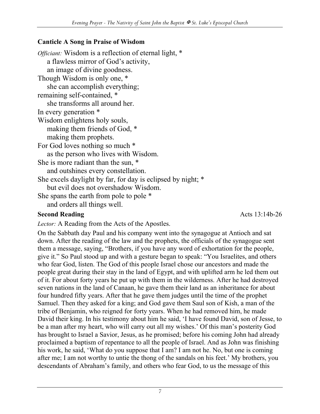#### **Canticle A Song in Praise of Wisdom**

*Officiant:* Wisdom is a reflection of eternal light, \* a flawless mirror of God's activity, an image of divine goodness. Though Wisdom is only one, \* she can accomplish everything; remaining self-contained, \* she transforms all around her. In every generation \* Wisdom enlightens holy souls, making them friends of God, \* making them prophets. For God loves nothing so much \* as the person who lives with Wisdom. She is more radiant than the sun, \* and outshines every constellation. She excels daylight by far, for day is eclipsed by night; \* but evil does not overshadow Wisdom. She spans the earth from pole to pole \* and orders all things well.

#### **Second Reading** Acts 13:14b-26

*Lector:* A Reading from the Acts of the Apostles.

On the Sabbath day Paul and his company went into the synagogue at Antioch and sat down. After the reading of the law and the prophets, the officials of the synagogue sent them a message, saying, "Brothers, if you have any word of exhortation for the people, give it." So Paul stood up and with a gesture began to speak: "You Israelites, and others who fear God, listen. The God of this people Israel chose our ancestors and made the people great during their stay in the land of Egypt, and with uplifted arm he led them out of it. For about forty years he put up with them in the wilderness. After he had destroyed seven nations in the land of Canaan, he gave them their land as an inheritance for about four hundred fifty years. After that he gave them judges until the time of the prophet Samuel. Then they asked for a king; and God gave them Saul son of Kish, a man of the tribe of Benjamin, who reigned for forty years. When he had removed him, he made David their king. In his testimony about him he said, 'I have found David, son of Jesse, to be a man after my heart, who will carry out all my wishes.' Of this man's posterity God has brought to Israel a Savior, Jesus, as he promised; before his coming John had already proclaimed a baptism of repentance to all the people of Israel. And as John was finishing his work, he said, 'What do you suppose that I am? I am not he. No, but one is coming after me; I am not worthy to untie the thong of the sandals on his feet.' My brothers, you descendants of Abraham's family, and others who fear God, to us the message of this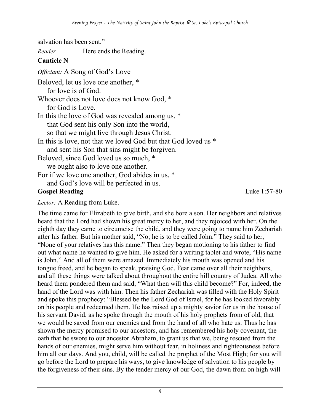salvation has been sent."

*Reader* Here ends the Reading.

#### **Canticle N**

*Officiant:* A Song of God's Love Beloved, let us love one another, \* for love is of God. Whoever does not love does not know God, \* for God is Love. In this the love of God was revealed among us, \* that God sent his only Son into the world, so that we might live through Jesus Christ. In this is love, not that we loved God but that God loved us \* and sent his Son that sins might be forgiven. Beloved, since God loved us so much, \* we ought also to love one another. For if we love one another, God abides in us, \* and God's love will be perfected in us. **Gospel Reading** Luke 1:57-80

#### *Lector:* A Reading from Luke.

The time came for Elizabeth to give birth, and she bore a son. Her neighbors and relatives heard that the Lord had shown his great mercy to her, and they rejoiced with her. On the eighth day they came to circumcise the child, and they were going to name him Zechariah after his father. But his mother said, "No; he is to be called John." They said to her, "None of your relatives has this name." Then they began motioning to his father to find out what name he wanted to give him. He asked for a writing tablet and wrote, "His name is John." And all of them were amazed. Immediately his mouth was opened and his tongue freed, and he began to speak, praising God. Fear came over all their neighbors, and all these things were talked about throughout the entire hill country of Judea. All who heard them pondered them and said, "What then will this child become?" For, indeed, the hand of the Lord was with him. Then his father Zechariah was filled with the Holy Spirit and spoke this prophecy: "Blessed be the Lord God of Israel, for he has looked favorably on his people and redeemed them. He has raised up a mighty savior for us in the house of his servant David, as he spoke through the mouth of his holy prophets from of old, that we would be saved from our enemies and from the hand of all who hate us. Thus he has shown the mercy promised to our ancestors, and has remembered his holy covenant, the oath that he swore to our ancestor Abraham, to grant us that we, being rescued from the hands of our enemies, might serve him without fear, in holiness and righteousness before him all our days. And you, child, will be called the prophet of the Most High; for you will go before the Lord to prepare his ways, to give knowledge of salvation to his people by the forgiveness of their sins. By the tender mercy of our God, the dawn from on high will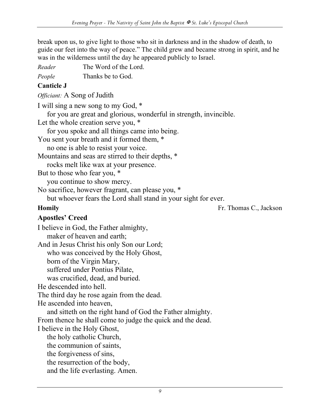break upon us, to give light to those who sit in darkness and in the shadow of death, to guide our feet into the way of peace." The child grew and became strong in spirit, and he was in the wilderness until the day he appeared publicly to Israel.

*Reader* The Word of the Lord.

*People* Thanks be to God.

#### **Canticle J**

*Officiant:* A Song of Judith

I will sing a new song to my God, \*

for you are great and glorious, wonderful in strength, invincible.

Let the whole creation serve you,  $*$ 

for you spoke and all things came into being.

You sent your breath and it formed them, \*

no one is able to resist your voice.

Mountains and seas are stirred to their depths, \*

rocks melt like wax at your presence.

But to those who fear you, \*

you continue to show mercy.

No sacrifice, however fragrant, can please you, \*

but whoever fears the Lord shall stand in your sight for ever.

**Homily Fr. Thomas C., Jackson** 

#### **Apostles' Creed**

I believe in God, the Father almighty, maker of heaven and earth; And in Jesus Christ his only Son our Lord; who was conceived by the Holy Ghost, born of the Virgin Mary, suffered under Pontius Pilate, was crucified, dead, and buried. He descended into hell. The third day he rose again from the dead. He ascended into heaven, and sitteth on the right hand of God the Father almighty. From thence he shall come to judge the quick and the dead. I believe in the Holy Ghost, the holy catholic Church, the communion of saints, the forgiveness of sins, the resurrection of the body, and the life everlasting. Amen.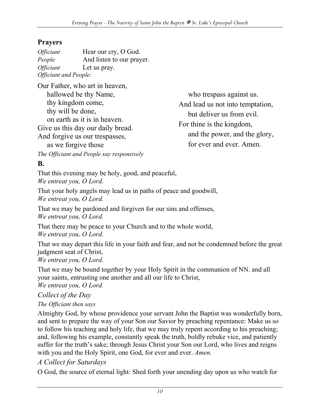#### **Prayers**

| <i><b>Officiant</b></i>      | Hear our cry, O God.      |
|------------------------------|---------------------------|
| People                       | And listen to our prayer. |
| <i><b>Officiant</b></i>      | Let us pray.              |
| <b>Officiant and People:</b> |                           |

Our Father, who art in heaven, hallowed be thy Name,

thy kingdom come, thy will be done, on earth as it is in heaven. Give us this day our daily bread. And forgive us our trespasses, as we forgive those

*The Officiant and People say responsively*

who trespass against us. And lead us not into temptation, but deliver us from evil. For thine is the kingdom, and the power, and the glory, for ever and ever. Amen.

**B.**

That this evening may be holy, good, and peaceful, *We entreat you, O Lord.*

That your holy angels may lead us in paths of peace and goodwill, *We entreat you, O Lord.*

That we may be pardoned and forgiven for our sins and offenses, *We entreat you, O Lord.*

That there may be peace to your Church and to the whole world, *We entreat you, O Lord.*

That we may depart this life in your faith and fear, and not be condemned before the great judgment seat of Christ, *We entreat you, O Lord.*

That we may be bound together by your Holy Spirit in the communion of NN. and all your saints, entrusting one another and all our life to Christ, *We entreat you, O Lord.*

*Collect of the Day*

#### *The Officiant then says*

Almighty God, by whose providence your servant John the Baptist was wonderfully born, and sent to prepare the way of your Son our Savior by preaching repentance: Make us so to follow his teaching and holy life, that we may truly repent according to his preaching; and, following his example, constantly speak the truth, boldly rebuke vice, and patiently suffer for the truth's sake; through Jesus Christ your Son our Lord, who lives and reigns with you and the Holy Spirit, one God, for ever and ever. *Amen.*

#### *A Collect for Saturdays*

O God, the source of eternal light: Shed forth your unending day upon us who watch for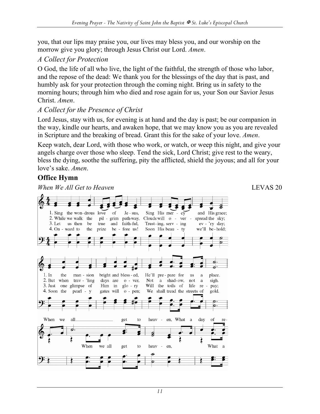you, that our lips may praise you, our lives may bless you, and our worship on the morrow give you glory; through Jesus Christ our Lord. *Amen*.

#### *A Collect for Protection*

O God, the life of all who live, the light of the faithful, the strength of those who labor, and the repose of the dead: We thank you for the blessings of the day that is past, and humbly ask for your protection through the coming night. Bring us in safety to the morning hours; through him who died and rose again for us, your Son our Savior Jesus Christ. *Amen*.

#### *A Collect for the Presence of Christ*

Lord Jesus, stay with us, for evening is at hand and the day is past; be our companion in the way, kindle our hearts, and awaken hope, that we may know you as you are revealed in Scripture and the breaking of bread. Grant this for the sake of your love. *Amen*.

Keep watch, dear Lord, with those who work, or watch, or weep this night, and give your angels charge over those who sleep. Tend the sick, Lord Christ; give rest to the weary, bless the dying, soothe the suffering, pity the afflicted, shield the joyous; and all for your love's sake. *Amen*.

#### **Office Hymn**

*When We All Get to Heaven* LEVAS 20

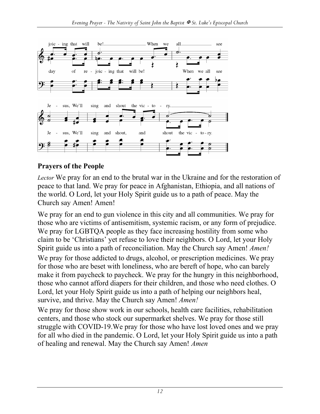

#### **Prayers of the People**

*Lector* We pray for an end to the brutal war in the Ukraine and for the restoration of peace to that land. We pray for peace in Afghanistan, Ethiopia, and all nations of the world. O Lord, let your Holy Spirit guide us to a path of peace. May the Church say Amen! Amen!

We pray for an end to gun violence in this city and all communities. We pray for those who are victims of antisemitism, systemic racism, or any form of prejudice. We pray for LGBTQA people as they face increasing hostility from some who claim to be 'Christians' yet refuse to love their neighbors. O Lord, let your Holy Spirit guide us into a path of reconciliation. May the Church say Amen! *Amen!* We pray for those addicted to drugs, alcohol, or prescription medicines. We pray for those who are beset with loneliness, who are bereft of hope, who can barely make it from paycheck to paycheck. We pray for the hungry in this neighborhood, those who cannot afford diapers for their children, and those who need clothes. O Lord, let your Holy Spirit guide us into a path of helping our neighbors heal, survive, and thrive. May the Church say Amen! *Amen!*

We pray for those show work in our schools, health care facilities, rehabilitation centers, and those who stock our supermarket shelves. We pray for those still struggle with COVID-19.We pray for those who have lost loved ones and we pray for all who died in the pandemic. O Lord, let your Holy Spirit guide us into a path of healing and renewal. May the Church say Amen! *Amen*